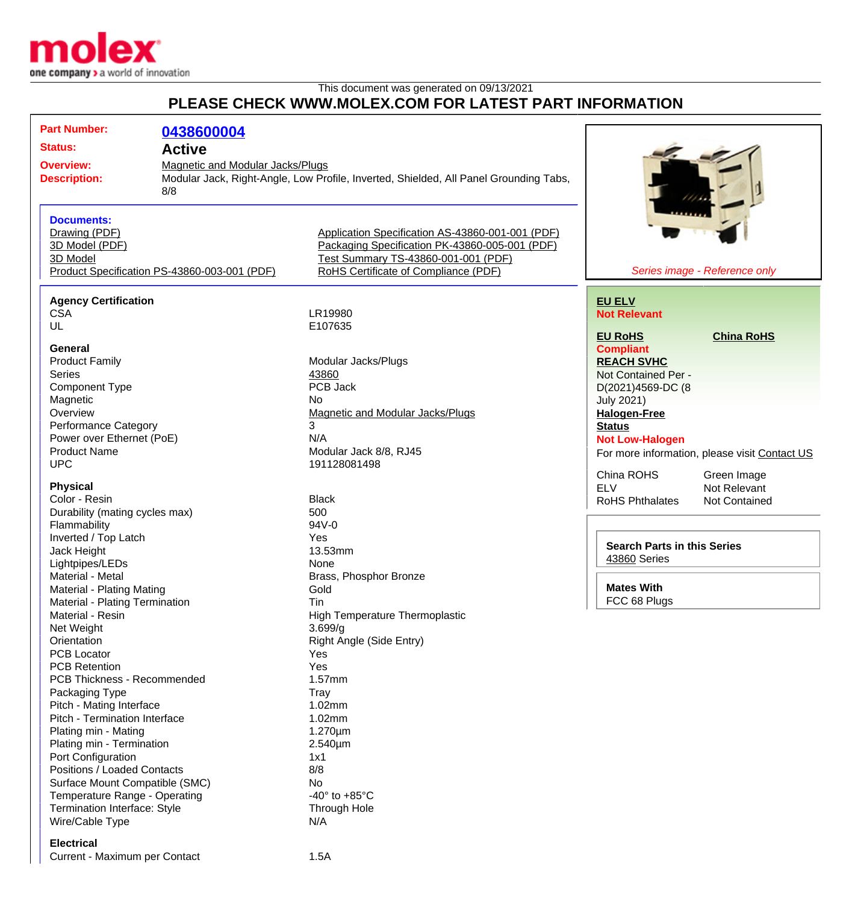

## This document was generated on 09/13/2021 **PLEASE CHECK WWW.MOLEX.COM FOR LATEST PART INFORMATION**

| <b>Part Number:</b>                                                                                              | 0438600004                                                                                                                              |                                                                                                                                                                                   |                                                |  |
|------------------------------------------------------------------------------------------------------------------|-----------------------------------------------------------------------------------------------------------------------------------------|-----------------------------------------------------------------------------------------------------------------------------------------------------------------------------------|------------------------------------------------|--|
| <b>Status:</b><br><b>Active</b>                                                                                  |                                                                                                                                         |                                                                                                                                                                                   |                                                |  |
| <b>Overview:</b><br><b>Description:</b>                                                                          | <b>Magnetic and Modular Jacks/Plugs</b><br>Modular Jack, Right-Angle, Low Profile, Inverted, Shielded, All Panel Grounding Tabs,<br>8/8 |                                                                                                                                                                                   |                                                |  |
| <b>Documents:</b><br>Drawing (PDF)<br>3D Model (PDF)<br>3D Model<br>Product Specification PS-43860-003-001 (PDF) |                                                                                                                                         | Application Specification AS-43860-001-001 (PDF)<br>Packaging Specification PK-43860-005-001 (PDF)<br>Test Summary TS-43860-001-001 (PDF)<br>RoHS Certificate of Compliance (PDF) | Series image - Reference only                  |  |
| <b>Agency Certification</b>                                                                                      |                                                                                                                                         |                                                                                                                                                                                   | <b>EU ELV</b>                                  |  |
| <b>CSA</b>                                                                                                       |                                                                                                                                         | LR19980                                                                                                                                                                           | <b>Not Relevant</b>                            |  |
| UL                                                                                                               |                                                                                                                                         | E107635                                                                                                                                                                           |                                                |  |
|                                                                                                                  |                                                                                                                                         |                                                                                                                                                                                   | <b>EU RoHS</b><br><b>China RoHS</b>            |  |
| <b>General</b>                                                                                                   |                                                                                                                                         |                                                                                                                                                                                   | <b>Compliant</b>                               |  |
| <b>Product Family</b>                                                                                            |                                                                                                                                         | Modular Jacks/Plugs                                                                                                                                                               | <b>REACH SVHC</b>                              |  |
| <b>Series</b>                                                                                                    |                                                                                                                                         | 43860                                                                                                                                                                             | Not Contained Per -                            |  |
| <b>Component Type</b>                                                                                            |                                                                                                                                         | PCB Jack                                                                                                                                                                          | D(2021)4569-DC (8                              |  |
| Magnetic                                                                                                         |                                                                                                                                         | No.                                                                                                                                                                               | <b>July 2021)</b>                              |  |
| Overview                                                                                                         |                                                                                                                                         | <b>Magnetic and Modular Jacks/Plugs</b>                                                                                                                                           | <b>Halogen-Free</b>                            |  |
| Performance Category                                                                                             |                                                                                                                                         | 3                                                                                                                                                                                 | <b>Status</b>                                  |  |
| Power over Ethernet (PoE)                                                                                        |                                                                                                                                         | N/A                                                                                                                                                                               | <b>Not Low-Halogen</b>                         |  |
| <b>Product Name</b>                                                                                              |                                                                                                                                         | Modular Jack 8/8, RJ45                                                                                                                                                            | For more information, please visit Contact US  |  |
| <b>UPC</b>                                                                                                       |                                                                                                                                         | 191128081498                                                                                                                                                                      |                                                |  |
|                                                                                                                  |                                                                                                                                         |                                                                                                                                                                                   | China ROHS<br>Green Image                      |  |
| <b>Physical</b>                                                                                                  |                                                                                                                                         |                                                                                                                                                                                   | <b>ELV</b><br>Not Relevant                     |  |
| Color - Resin                                                                                                    |                                                                                                                                         | <b>Black</b>                                                                                                                                                                      | <b>RoHS Phthalates</b><br><b>Not Contained</b> |  |
| Durability (mating cycles max)                                                                                   |                                                                                                                                         | 500                                                                                                                                                                               |                                                |  |
| Flammability                                                                                                     |                                                                                                                                         | 94V-0                                                                                                                                                                             |                                                |  |
| Inverted / Top Latch                                                                                             |                                                                                                                                         | Yes                                                                                                                                                                               | <b>Search Parts in this Series</b>             |  |
| Jack Height                                                                                                      |                                                                                                                                         | 13.53mm                                                                                                                                                                           | 43860 Series                                   |  |
| Lightpipes/LEDs                                                                                                  |                                                                                                                                         | None                                                                                                                                                                              |                                                |  |
| Material - Metal                                                                                                 |                                                                                                                                         | Brass, Phosphor Bronze                                                                                                                                                            |                                                |  |
| Material - Plating Mating                                                                                        |                                                                                                                                         | Gold                                                                                                                                                                              | <b>Mates With</b>                              |  |
| Material - Plating Termination                                                                                   |                                                                                                                                         | Tin                                                                                                                                                                               | FCC 68 Plugs                                   |  |
| Material - Resin                                                                                                 |                                                                                                                                         | <b>High Temperature Thermoplastic</b>                                                                                                                                             |                                                |  |
| Net Weight                                                                                                       |                                                                                                                                         | 3.699/g                                                                                                                                                                           |                                                |  |
| Orientation                                                                                                      |                                                                                                                                         | Right Angle (Side Entry)                                                                                                                                                          |                                                |  |
| <b>PCB Locator</b>                                                                                               |                                                                                                                                         | Yes                                                                                                                                                                               |                                                |  |
| <b>PCB Retention</b>                                                                                             |                                                                                                                                         | Yes                                                                                                                                                                               |                                                |  |
| PCB Thickness - Recommended                                                                                      |                                                                                                                                         | 1.57mm                                                                                                                                                                            |                                                |  |
| Packaging Type                                                                                                   |                                                                                                                                         | Tray                                                                                                                                                                              |                                                |  |
| Pitch - Mating Interface                                                                                         |                                                                                                                                         | 1.02mm                                                                                                                                                                            |                                                |  |
| Pitch - Termination Interface                                                                                    |                                                                                                                                         | 1.02mm                                                                                                                                                                            |                                                |  |
| Plating min - Mating                                                                                             |                                                                                                                                         | $1.270 \mu m$                                                                                                                                                                     |                                                |  |
| Plating min - Termination                                                                                        |                                                                                                                                         | $2.540 \mu m$                                                                                                                                                                     |                                                |  |
| Port Configuration<br>Positions / Loaded Contacts                                                                |                                                                                                                                         | 1x1<br>8/8                                                                                                                                                                        |                                                |  |
|                                                                                                                  |                                                                                                                                         |                                                                                                                                                                                   |                                                |  |
| Surface Mount Compatible (SMC)                                                                                   |                                                                                                                                         | No.                                                                                                                                                                               |                                                |  |
| Temperature Range - Operating<br>Termination Interface: Style                                                    |                                                                                                                                         | -40 $\degree$ to +85 $\degree$ C                                                                                                                                                  |                                                |  |
|                                                                                                                  |                                                                                                                                         | Through Hole                                                                                                                                                                      |                                                |  |
| Wire/Cable Type                                                                                                  |                                                                                                                                         | N/A                                                                                                                                                                               |                                                |  |
|                                                                                                                  |                                                                                                                                         |                                                                                                                                                                                   |                                                |  |

## **Electrical**

Current - Maximum per Contact 1.5A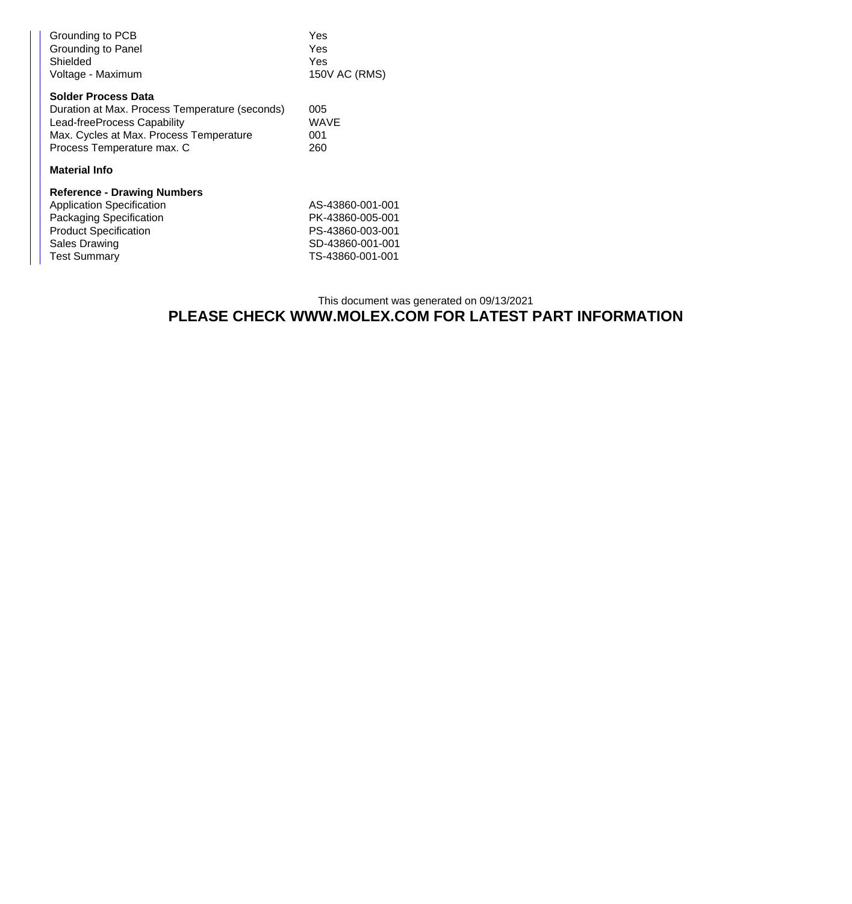| Grounding to PCB<br>Grounding to Panel<br>Shielded<br>Voltage - Maximum                                                                                                              | Yes<br>Yes<br>Yes<br>150V AC (RMS) |  |  |  |
|--------------------------------------------------------------------------------------------------------------------------------------------------------------------------------------|------------------------------------|--|--|--|
| <b>Solder Process Data</b><br>Duration at Max. Process Temperature (seconds)<br>Lead-freeProcess Capability<br>Max. Cycles at Max. Process Temperature<br>Process Temperature max. C | 005<br>WAVE<br>001<br>260          |  |  |  |
| <b>Material Info</b>                                                                                                                                                                 |                                    |  |  |  |
| <b>Reference - Drawing Numbers</b>                                                                                                                                                   |                                    |  |  |  |
| <b>Application Specification</b>                                                                                                                                                     | AS-43860-001-001                   |  |  |  |
| Packaging Specification                                                                                                                                                              | PK-43860-005-001                   |  |  |  |
| <b>Product Specification</b>                                                                                                                                                         | PS-43860-003-001                   |  |  |  |
| <b>Sales Drawing</b>                                                                                                                                                                 | SD-43860-001-001                   |  |  |  |
| <b>Test Summary</b>                                                                                                                                                                  | TS-43860-001-001                   |  |  |  |

## This document was generated on 09/13/2021 **PLEASE CHECK WWW.MOLEX.COM FOR LATEST PART INFORMATION**